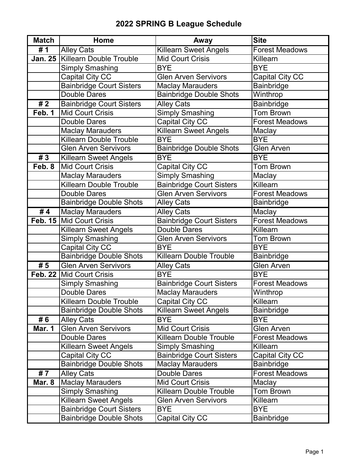## **2022 SPRING B League Schedule**

| <b>Match</b>      | Home                              | Away                            | <b>Site</b>            |
|-------------------|-----------------------------------|---------------------------------|------------------------|
| # 1               | <b>Alley Cats</b>                 | <b>Killearn Sweet Angels</b>    | <b>Forest Meadows</b>  |
|                   | Jan. 25   Killearn Double Trouble | <b>Mid Court Crisis</b>         | Killearn               |
|                   | <b>Simply Smashing</b>            | <b>BYE</b>                      | <b>BYE</b>             |
|                   | <b>Capital City CC</b>            | <b>Glen Arven Servivors</b>     | <b>Capital City CC</b> |
|                   | <b>Bainbridge Court Sisters</b>   | <b>Maclay Marauders</b>         | Bainbridge             |
|                   | Double Dares                      | <b>Bainbridge Double Shots</b>  | Winthrop               |
| $\overline{1\}/2$ | <b>Bainbridge Court Sisters</b>   | <b>Alley Cats</b>               | <b>Bainbridge</b>      |
| Feb. 1            | Mid Court Crisis                  | <b>Simply Smashing</b>          | <b>Tom Brown</b>       |
|                   | <b>Double Dares</b>               | Capital City CC                 | <b>Forest Meadows</b>  |
|                   | <b>Maclay Marauders</b>           | <b>Killearn Sweet Angels</b>    | Maclay                 |
|                   | <b>Killearn Double Trouble</b>    | <b>BYE</b>                      | <b>BYE</b>             |
|                   | <b>Glen Arven Servivors</b>       | <b>Bainbridge Double Shots</b>  | <b>Glen Arven</b>      |
| #3                | <b>Killearn Sweet Angels</b>      | <b>BYE</b>                      | <b>BYE</b>             |
| Feb. 8            | Mid Court Crisis                  | <b>Capital City CC</b>          | <b>Tom Brown</b>       |
|                   | <b>Maclay Marauders</b>           | <b>Simply Smashing</b>          | Maclay                 |
|                   | <b>Killearn Double Trouble</b>    | <b>Bainbridge Court Sisters</b> | Killearn               |
|                   | <b>Double Dares</b>               | <b>Glen Arven Servivors</b>     | <b>Forest Meadows</b>  |
|                   | <b>Bainbridge Double Shots</b>    | <b>Alley Cats</b>               | <b>Bainbridge</b>      |
| #4                | <b>Maclay Marauders</b>           | <b>Alley Cats</b>               | Maclay                 |
|                   | Feb. 15 Mid Court Crisis          | <b>Bainbridge Court Sisters</b> | <b>Forest Meadows</b>  |
|                   | <b>Killearn Sweet Angels</b>      | <b>Double Dares</b>             | Killearn               |
|                   | <b>Simply Smashing</b>            | <b>Glen Arven Servivors</b>     | <b>Tom Brown</b>       |
|                   | Capital City CC                   | <b>BYE</b>                      | <b>BYE</b>             |
|                   | <b>Bainbridge Double Shots</b>    | <b>Killearn Double Trouble</b>  | <b>Bainbridge</b>      |
| $\overline{\#}5$  | <b>Glen Arven Servivors</b>       | <b>Alley Cats</b>               | <b>Glen Arven</b>      |
|                   | Feb. 22   Mid Court Crisis        | <b>BYE</b>                      | <b>BYE</b>             |
|                   | <b>Simply Smashing</b>            | <b>Bainbridge Court Sisters</b> | <b>Forest Meadows</b>  |
|                   | <b>Double Dares</b>               | <b>Maclay Marauders</b>         | Winthrop               |
|                   | <b>Killearn Double Trouble</b>    | <b>Capital City CC</b>          | Killearn               |
|                   | <b>Bainbridge Double Shots</b>    | Killearn Sweet Angels           | <b>Bainbridge</b>      |
| # 6               | <b>Alley Cats</b>                 | <b>BYE</b>                      | <b>BYE</b>             |
| <b>Mar. 1</b>     | <b>Glen Arven Servivors</b>       | <b>Mid Court Crisis</b>         | <b>Glen Arven</b>      |
|                   | <b>Double Dares</b>               | <b>Killearn Double Trouble</b>  | <b>Forest Meadows</b>  |
|                   | <b>Killearn Sweet Angels</b>      | <b>Simply Smashing</b>          | Killearn               |
|                   | Capital City CC                   | <b>Bainbridge Court Sisters</b> | Capital City CC        |
|                   | <b>Bainbridge Double Shots</b>    | <b>Maclay Marauders</b>         | <b>Bainbridge</b>      |
| #7                | <b>Alley Cats</b>                 | Double Dares                    | <b>Forest Meadows</b>  |
| Mar. 8            | <b>Maclay Marauders</b>           | <b>Mid Court Crisis</b>         | Maclay                 |
|                   | <b>Simply Smashing</b>            | <b>Killearn Double Trouble</b>  | <b>Tom Brown</b>       |
|                   | <b>Killearn Sweet Angels</b>      | <b>Glen Arven Servivors</b>     | Killearn               |
|                   | <b>Bainbridge Court Sisters</b>   | <b>BYE</b>                      | <b>BYE</b>             |
|                   | <b>Bainbridge Double Shots</b>    | <b>Capital City CC</b>          | <b>Bainbridge</b>      |